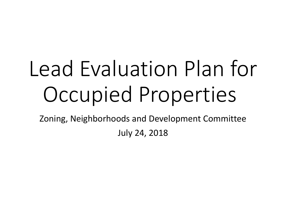# Lead Evaluation Plan for Occupied Properties

Zoning, Neighborhoods and Development Committee July 24, 2018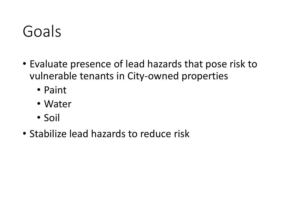#### Goals

- Evaluate presence of lead hazards that pose risk to vulnerable tenants in City-owned properties
	- Paint
	- Water
	- Soil
- Stabilize lead hazards to reduce risk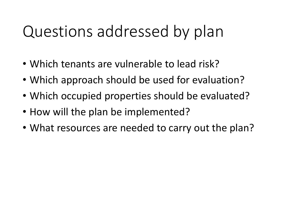### Questions addressed by plan

- Which tenants are vulnerable to lead risk?
- Which approach should be used for evaluation?
- Which occupied properties should be evaluated?
- How will the plan be implemented?
- What resources are needed to carry out the plan?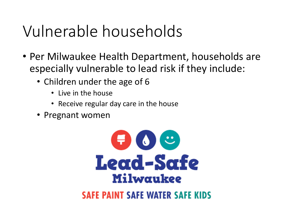### Vulnerable households

- Per Milwaukee Health Department, households are especially vulnerable to lead risk if they include:
	- Children under the age of 6
		- Live in the house
		- Receive regular day care in the house
	- Pregnant women



#### **SAFE PAINT SAFE WATER SAFE KIDS**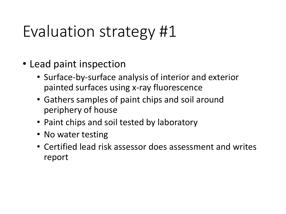### Evaluation strategy #1

- Lead paint inspection
	- Surface-by-surface analysis of interior and exterior painted surfaces using x-ray fluorescence
	- Gathers samples of paint chips and soil around periphery of house
	- Paint chips and soil tested by laboratory
	- No water testing
	- Certified lead risk assessor does assessment and writes report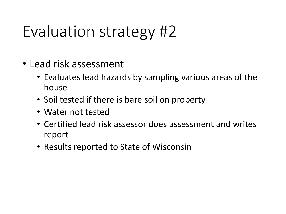### Evaluation strategy #2

- Lead risk assessment
	- Evaluates lead hazards by sampling various areas of the house
	- Soil tested if there is bare soil on property
	- Water not tested
	- Certified lead risk assessor does assessment and writes report
	- Results reported to State of Wisconsin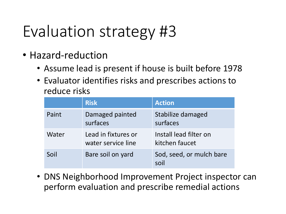# Evaluation strategy #3

- Hazard-reduction
	- Assume lead is present if house is built before 1978
	- Evaluator identifies risks and prescribes actions to reduce risks

|       | <b>Risk</b>                               | <b>Action</b>                            |
|-------|-------------------------------------------|------------------------------------------|
| Paint | Damaged painted<br>surfaces               | Stabilize damaged<br>surfaces            |
| Water | Lead in fixtures or<br>water service line | Install lead filter on<br>kitchen faucet |
| Soil  | Bare soil on yard                         | Sod, seed, or mulch bare<br>soil         |

• DNS Neighborhood Improvement Project inspector can perform evaluation and prescribe remedial actions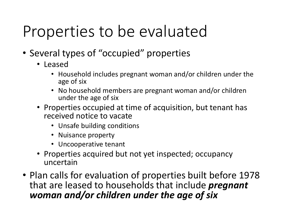# Properties to be evaluated

- Several types of "occupied" properties
	- Leased
		- Household includes pregnant woman and/or children under the age of six
		- No household members are pregnant woman and/or children under the age of six
	- Properties occupied at time of acquisition, but tenant has received notice to vacate
		- Unsafe building conditions
		- Nuisance property
		- Uncooperative tenant
	- Properties acquired but not yet inspected; occupancy uncertain
- Plan calls for evaluation of properties built before 1978 that are leased to households that include *pregnant woman and/or children under the age of six*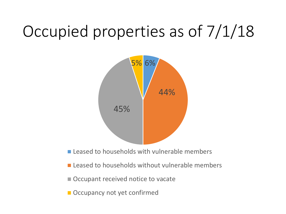# Occupied properties as of 7/1/18



- Leased to households with vulnerable members
- $\blacksquare$  Leased to households without vulnerable members
- Occupant received notice to vacate
- Occupancy not yet confirmed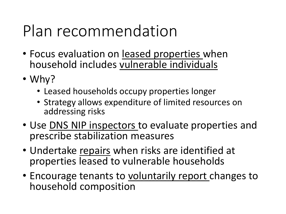### Plan recommendation

- Focus evaluation on leased properties when household includes vulnerable individuals
- Why?
	- Leased households occupy properties longer
	- Strategy allows expenditure of limited resources on addressing risks
- Use DNS NIP inspectors to evaluate properties and prescribe stabilization measures
- Undertake repairs when risks are identified at properties leased to vulnerable households
- Encourage tenants to voluntarily report changes to household composition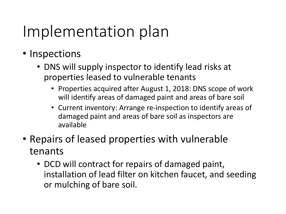### Implementation plan

- Inspections
	- DNS will supply inspector to identify lead risks at properties leased to vulnerable tenants
		- Properties acquired after August 1, 2018: DNS scope of work will identify areas of damaged paint and areas of bare soil
		- Current inventory: Arrange re-inspection to identify areas of damaged paint and areas of bare soil as inspectors are available
- Repairs of leased properties with vulnerable tenants
	- DCD will contract for repairs of damaged paint, installation of lead filter on kitchen faucet, and seeding or mulching of bare soil.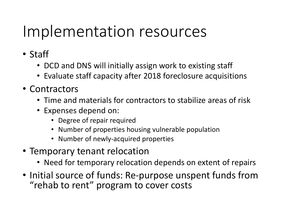#### Implementation resources

- Staff
	- DCD and DNS will initially assign work to existing staff
	- Evaluate staff capacity after 2018 foreclosure acquisitions
- Contractors
	- Time and materials for contractors to stabilize areas of risk
	- Expenses depend on:
		- Degree of repair required
		- Number of properties housing vulnerable population
		- Number of newly-acquired properties
- Temporary tenant relocation
	- Need for temporary relocation depends on extent of repairs
- Initial source of funds: Re-purpose unspent funds from "rehab to rent" program to cover costs